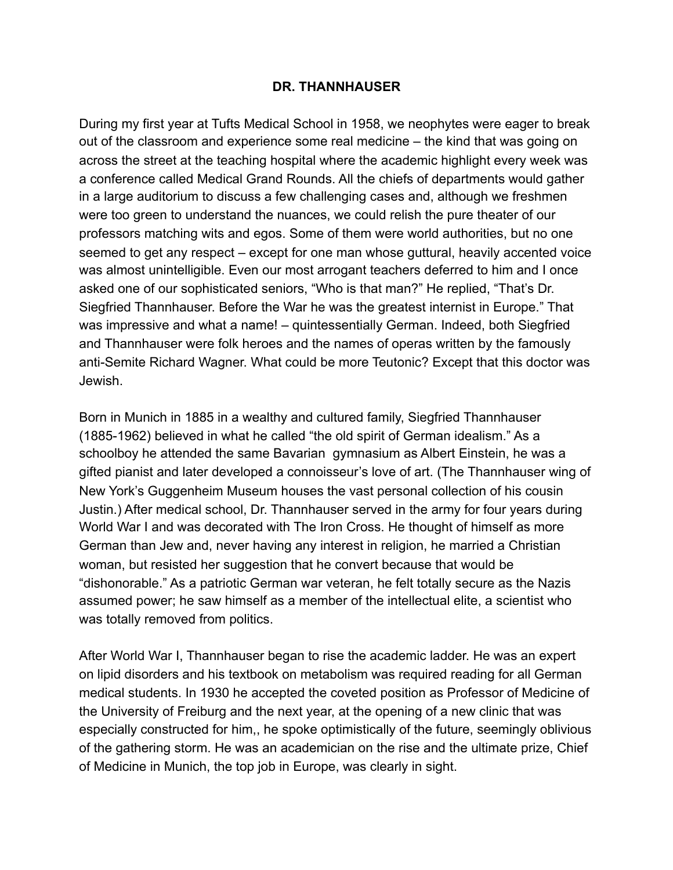## **DR. THANNHAUSER**

During my first year at Tufts Medical School in 1958, we neophytes were eager to break out of the classroom and experience some real medicine – the kind that was going on across the street at the teaching hospital where the academic highlight every week was a conference called Medical Grand Rounds. All the chiefs of departments would gather in a large auditorium to discuss a few challenging cases and, although we freshmen were too green to understand the nuances, we could relish the pure theater of our professors matching wits and egos. Some of them were world authorities, but no one seemed to get any respect – except for one man whose guttural, heavily accented voice was almost unintelligible. Even our most arrogant teachers deferred to him and I once asked one of our sophisticated seniors, "Who is that man?" He replied, "That's Dr. Siegfried Thannhauser. Before the War he was the greatest internist in Europe." That was impressive and what a name! – quintessentially German. Indeed, both Siegfried and Thannhauser were folk heroes and the names of operas written by the famously anti-Semite Richard Wagner. What could be more Teutonic? Except that this doctor was Jewish.

Born in Munich in 1885 in a wealthy and cultured family, Siegfried Thannhauser (1885-1962) believed in what he called "the old spirit of German idealism." As a schoolboy he attended the same Bavarian gymnasium as Albert Einstein, he was a gifted pianist and later developed a connoisseur's love of art. (The Thannhauser wing of New York's Guggenheim Museum houses the vast personal collection of his cousin Justin.) After medical school, Dr. Thannhauser served in the army for four years during World War I and was decorated with The Iron Cross. He thought of himself as more German than Jew and, never having any interest in religion, he married a Christian woman, but resisted her suggestion that he convert because that would be "dishonorable." As a patriotic German war veteran, he felt totally secure as the Nazis assumed power; he saw himself as a member of the intellectual elite, a scientist who was totally removed from politics.

After World War I, Thannhauser began to rise the academic ladder. He was an expert on lipid disorders and his textbook on metabolism was required reading for all German medical students. In 1930 he accepted the coveted position as Professor of Medicine of the University of Freiburg and the next year, at the opening of a new clinic that was especially constructed for him,, he spoke optimistically of the future, seemingly oblivious of the gathering storm. He was an academician on the rise and the ultimate prize, Chief of Medicine in Munich, the top job in Europe, was clearly in sight.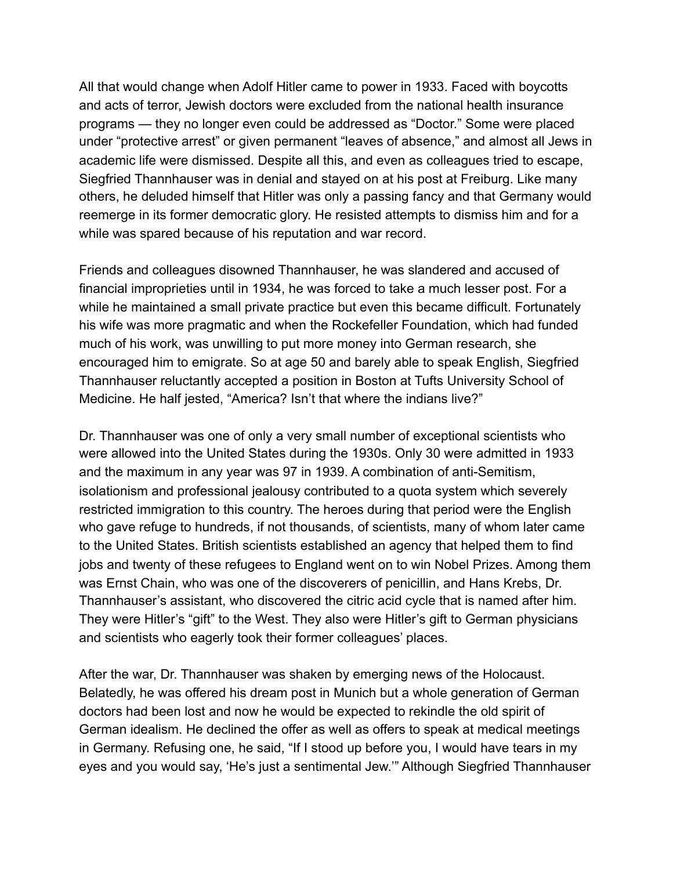All that would change when Adolf Hitler came to power in 1933. Faced with boycotts and acts of terror, Jewish doctors were excluded from the national health insurance programs — they no longer even could be addressed as "Doctor." Some were placed under "protective arrest" or given permanent "leaves of absence," and almost all Jews in academic life were dismissed. Despite all this, and even as colleagues tried to escape, Siegfried Thannhauser was in denial and stayed on at his post at Freiburg. Like many others, he deluded himself that Hitler was only a passing fancy and that Germany would reemerge in its former democratic glory. He resisted attempts to dismiss him and for a while was spared because of his reputation and war record.

Friends and colleagues disowned Thannhauser, he was slandered and accused of financial improprieties until in 1934, he was forced to take a much lesser post. For a while he maintained a small private practice but even this became difficult. Fortunately his wife was more pragmatic and when the Rockefeller Foundation, which had funded much of his work, was unwilling to put more money into German research, she encouraged him to emigrate. So at age 50 and barely able to speak English, Siegfried Thannhauser reluctantly accepted a position in Boston at Tufts University School of Medicine. He half jested, "America? Isn't that where the indians live?"

Dr. Thannhauser was one of only a very small number of exceptional scientists who were allowed into the United States during the 1930s. Only 30 were admitted in 1933 and the maximum in any year was 97 in 1939. A combination of anti-Semitism, isolationism and professional jealousy contributed to a quota system which severely restricted immigration to this country. The heroes during that period were the English who gave refuge to hundreds, if not thousands, of scientists, many of whom later came to the United States. British scientists established an agency that helped them to find jobs and twenty of these refugees to England went on to win Nobel Prizes. Among them was Ernst Chain, who was one of the discoverers of penicillin, and Hans Krebs, Dr. Thannhauser's assistant, who discovered the citric acid cycle that is named after him. They were Hitler's "gift" to the West. They also were Hitler's gift to German physicians and scientists who eagerly took their former colleagues' places.

After the war, Dr. Thannhauser was shaken by emerging news of the Holocaust. Belatedly, he was offered his dream post in Munich but a whole generation of German doctors had been lost and now he would be expected to rekindle the old spirit of German idealism. He declined the offer as well as offers to speak at medical meetings in Germany. Refusing one, he said, "If I stood up before you, I would have tears in my eyes and you would say, 'He's just a sentimental Jew.'" Although Siegfried Thannhauser